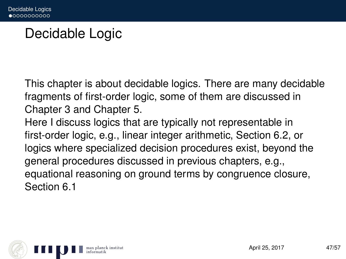## Decidable Logic

This chapter is about decidable logics. There are many decidable fragments of first-order logic, some of them are discussed in Chapter 3 and Chapter 5.

Here I discuss logics that are typically not representable in first-order logic, e.g., linear integer arithmetic, Section 6.2, or logics where specialized decision procedures exist, beyond the general procedures discussed in previous chapters, e.g., equational reasoning on ground terms by congruence closure, Section 6.1

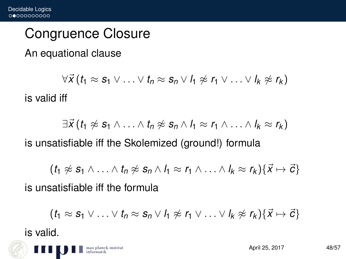### Congruence Closure

An equational clause

 $\forall \vec{x}$  ( $t_1 \approx s_1 \vee \ldots \vee t_n \approx s_n \vee t_1 \not\approx r_1 \vee \ldots \vee t_k \not\approx r_k$ ) is valid iff

 $\exists \vec{X}$  ( $t_1 \not\approx s_1 \wedge \ldots \wedge t_n \not\approx s_n \wedge l_1 \approx r_1 \wedge \ldots \wedge l_k \approx r_k$ )

is unsatisfiable iff the Skolemized (ground!) formula

 $(t_1 \not\approx S_1 \wedge \ldots \wedge t_n \not\approx S_n \wedge l_1 \approx r_1 \wedge \ldots \wedge l_k \approx r_k) \{\vec{X} \mapsto \vec{C}\}\$ 

is unsatisfiable iff the formula

$$
(t_1 \approx s_1 \vee \ldots \vee t_n \approx s_n \vee l_1 \not\approx r_1 \vee \ldots \vee l_k \not\approx r_k) \{\vec{x} \mapsto \vec{c}\}\
$$

is valid.

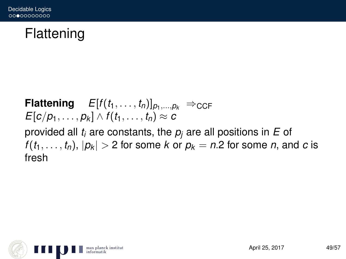# Flattening

#### **Flattening**  $E[f(t_1, \ldots, t_n)]_{p_1,\ldots,p_k} \Rightarrow_{CCF}$ *E*[*c*/*p*<sub>1</sub>, . . . , *p*<sub>*k*</sub>] ∧ *f*(*t*<sub>1</sub>, . . . , *t*<sub>*n*</sub>) ≈ *c* provided all *t<sup>i</sup>* are constants, the *p<sup>j</sup>* are all positions in *E* of  $f(t_1, \ldots, t_n)$ ,  $|p_k| > 2$  for some *k* or  $p_k = n.2$  for some *n*, and *c* is fresh

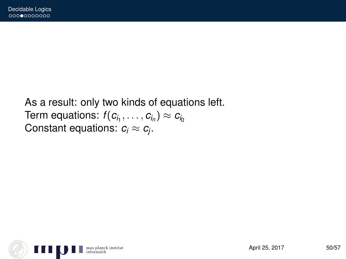#### As a result: only two kinds of equations left.  $\mathsf{Term}\;$  equations:  $f(c_{i_1}, \ldots, c_{i_n}) \approx c_{i_0}$ Constant equations:  $c_i \approx c_j$ .

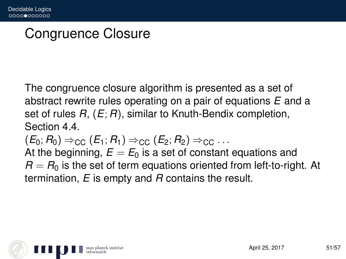# Congruence Closure

The congruence closure algorithm is presented as a set of abstract rewrite rules operating on a pair of equations *E* and a set of rules *R*, (*E*; *R*), similar to Knuth-Bendix completion, Section 4.4.  $(E_0; R_0)$  ⇒<sub>CC</sub>  $(E_1; R_1)$  ⇒<sub>CC</sub>  $(E_2; R_2)$  ⇒<sub>CC</sub> ... At the beginning,  $E = E_0$  is a set of constant equations and

 $R = R_0$  is the set of term equations oriented from left-to-right. At termination, *E* is empty and *R* contains the result.

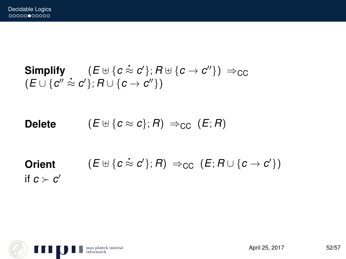$\textsf{Simplify} \qquad (E \uplus \{c \approx c'\}; R \uplus \{c \rightarrow c''\}) \Rightarrow_{\textsf{CC}}$  $(E \cup \{c'' \approx c'\}; R \cup \{c \to c''\})$ 

**Delete**  $(E \oplus \{c \approx c\}; R) \Rightarrow_{\text{CC}} (E; R)$ 

 $\mathsf{Orient} \qquad \quad (E \uplus \{c \approx c'\}; R) \Rightarrow_{\mathsf{CC}} (E; R \cup \{c \rightarrow c'\})$ if  $c \succ c'$